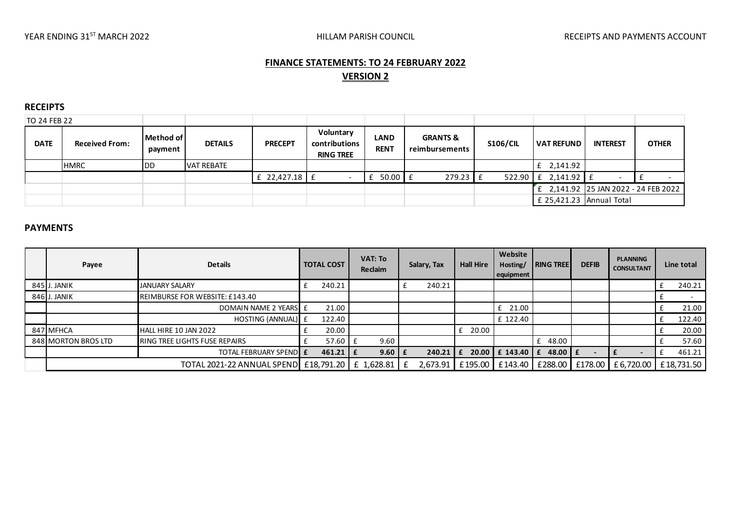# **FINANCE STATEMENTS: TO 24 FEBRUARY 2022 VERSION 2**

#### **RECEIPTS**

| TO 24 FEB 22 |                       |                      |                |                 |                                                |                            |                                       |                 |                          |                                    |              |
|--------------|-----------------------|----------------------|----------------|-----------------|------------------------------------------------|----------------------------|---------------------------------------|-----------------|--------------------------|------------------------------------|--------------|
| <b>DATE</b>  | <b>Received From:</b> | Method of<br>payment | <b>DETAILS</b> | <b>PRECEPT</b>  | Voluntary<br>contributions<br><b>RING TREE</b> | <b>LAND</b><br><b>RENT</b> | <b>GRANTS &amp;</b><br>reimbursements | <b>S106/CIL</b> | <b>VAT REFUND</b>        | <b>INTEREST</b>                    | <b>OTHER</b> |
|              | <b>HMRC</b>           | <b>DD</b>            | VAT REBATE     |                 |                                                |                            |                                       |                 | $f$ 2,141.92             |                                    |              |
|              |                       |                      |                | £ $22,427.18$ £ |                                                | $50.00$   £                | $279.23$ $E$                          | $522.90$ $E$    | 2,141.92                 | $\overline{\phantom{0}}$           |              |
|              |                       |                      |                |                 |                                                |                            |                                       |                 |                          | 2,141.92 25 JAN 2022 - 24 FEB 2022 |              |
|              |                       |                      |                |                 |                                                |                            |                                       |                 | £ 25,421.23 Annual Total |                                    |              |
|              |                       |                      |                |                 |                                                |                            |                                       |                 |                          |                                    |              |
| ----------   |                       |                      |                |                 |                                                |                            |                                       |                 |                          |                                    |              |

### **PAYMENTS**

| Payee               | <b>Details</b>                                       | <b>TOTAL COST</b> |              | VAT: To<br>Reclaim | Salary, Tax | <b>Hall Hire</b> | Website<br>Hosting/<br>equipment | <b>I RING TREE</b> | <b>DEFIB</b> | <b>PLANNING</b><br><b>CONSULTANT</b> | Line total |
|---------------------|------------------------------------------------------|-------------------|--------------|--------------------|-------------|------------------|----------------------------------|--------------------|--------------|--------------------------------------|------------|
| 845 J. JANIK        | JANUARY SALARY                                       |                   | 240.21       |                    | 240.21      |                  |                                  |                    |              |                                      | 240.21     |
| 846 J. JANIK        | REIMBURSE FOR WEBSITE: £143.40                       |                   |              |                    |             |                  |                                  |                    |              |                                      |            |
|                     | DOMAIN NAME 2 YEARS E                                |                   | 21.00        |                    |             |                  | 21.00<br>£                       |                    |              |                                      | 21.00      |
|                     | HOSTING (ANNUAL) E                                   |                   | 122.40       |                    |             |                  | £ 122.40                         |                    |              |                                      | 122.40     |
| 847 MFHCA           | HALL HIRE 10 JAN 2022                                |                   | 20.00        |                    |             | 20.00            |                                  |                    |              |                                      | 20.00      |
| 848 MORTON BROS LTD | <b>IRING TREE LIGHTS FUSE REPAIRS</b>                |                   | 57.60 $E$    | 9.60               |             |                  |                                  | 48.00              |              |                                      | 57.60      |
|                     | <b>TOTAL FEBRUARY SPENDLE</b>                        |                   | $461.21$   £ | $9.60 \mid f$      | 240.21      |                  | 20.00 E 143.40                   | 48.00 $E$<br>£     |              |                                      | 461.21     |
|                     | TOTAL 2021-22 ANNUAL SPEND   £18,791.20   £ 1,628.81 |                   |              |                    | 2,673.91    |                  | £195.00 £143.40                  | £288.00            | £178.00      | £ 6,720.00                           | £18,731.50 |
|                     |                                                      |                   |              |                    |             |                  |                                  |                    |              |                                      |            |